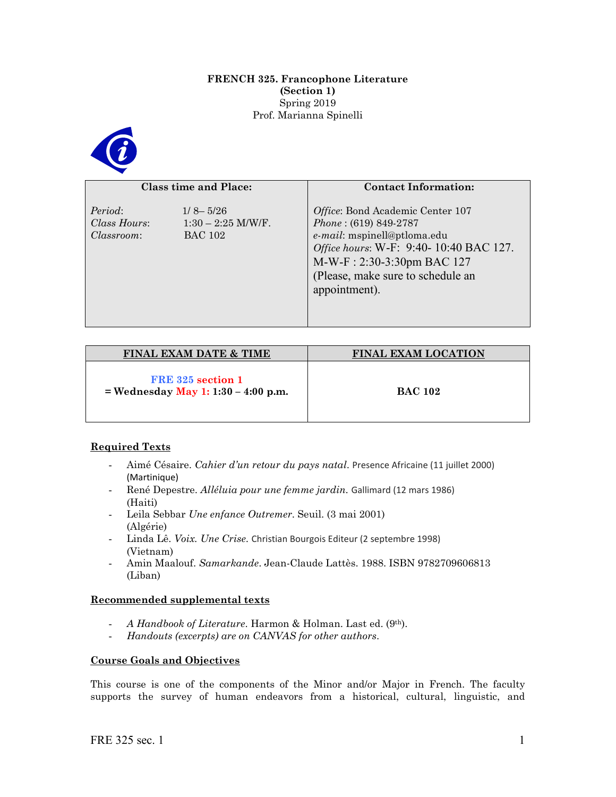#### **FRENCH 325. Francophone Literature (Section 1)** Spring 2019 Prof. Marianna Spinelli



### **Class time and Place:**

| <b>Class time and Place:</b>          |                                                        | <b>Contact Information:</b>                                                                                                                                                                                               |  |
|---------------------------------------|--------------------------------------------------------|---------------------------------------------------------------------------------------------------------------------------------------------------------------------------------------------------------------------------|--|
| Period:<br>Class Hours:<br>Classroom: | $1/8 - 5/26$<br>$1:30 - 2:25$ M/W/F.<br><b>BAC 102</b> | Office: Bond Academic Center 107<br>$Phone: (619) 849-2787$<br>e-mail: mspinell@ptloma.edu<br>Office hours: W-F: 9:40- 10:40 BAC 127.<br>M-W-F: 2:30-3:30pm BAC 127<br>(Please, make sure to schedule an<br>appointment). |  |

| <b>FINAL EXAM DATE &amp; TIME</b>                          | <b>FINAL EXAM LOCATION</b> |
|------------------------------------------------------------|----------------------------|
| FRE 325 section 1<br>= Wednesday May 1: $1:30 - 4:00$ p.m. | <b>BAC 102</b>             |

# **Required Texts**

- Aimé Césaire. *Cahier d'un retour du pays natal*. Presence Africaine (11 juillet 2000) (Martinique)
- René Depestre. *Alléluia pour une femme jardin.* Gallimard (12 mars 1986) (Haiti)
- Leila Sebbar *Une enfance Outremer*. Seuil. (3 mai 2001) (Algérie)
- Linda Lê. *Voix. Une Crise*. Christian Bourgois Editeur (2 septembre 1998) (Vietnam)
- Amin Maalouf. *Samarkande*. Jean-Claude Lattès. 1988. ISBN 9782709606813 (Liban)

## **Recommended supplemental texts**

- *A Handbook of Literature*. Harmon & Holman. Last ed. (9th).
- *Handouts (excerpts) are on CANVAS for other authors*.

## **Course Goals and Objectives**

This course is one of the components of the Minor and/or Major in French. The faculty supports the survey of human endeavors from a historical, cultural, linguistic, and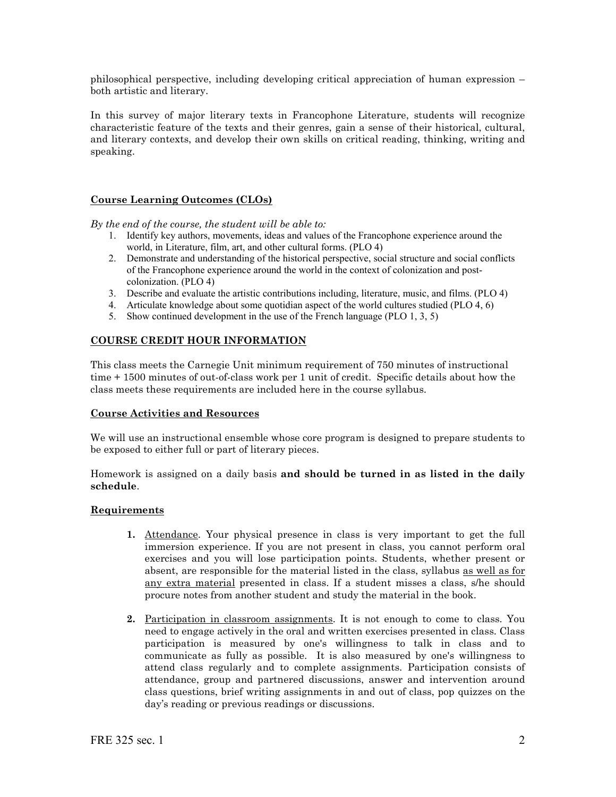philosophical perspective, including developing critical appreciation of human expression – both artistic and literary.

In this survey of major literary texts in Francophone Literature, students will recognize characteristic feature of the texts and their genres, gain a sense of their historical, cultural, and literary contexts, and develop their own skills on critical reading, thinking, writing and speaking.

## **Course Learning Outcomes (CLOs)**

*By the end of the course, the student will be able to:*

- 1. Identify key authors, movements, ideas and values of the Francophone experience around the world, in Literature, film, art, and other cultural forms. (PLO 4)
- 2. Demonstrate and understanding of the historical perspective, social structure and social conflicts of the Francophone experience around the world in the context of colonization and postcolonization. (PLO 4)
- 3. Describe and evaluate the artistic contributions including, literature, music, and films. (PLO 4)
- 4. Articulate knowledge about some quotidian aspect of the world cultures studied (PLO 4, 6)
- 5. Show continued development in the use of the French language (PLO 1, 3, 5)

## **COURSE CREDIT HOUR INFORMATION**

This class meets the Carnegie Unit minimum requirement of 750 minutes of instructional time + 1500 minutes of out-of-class work per 1 unit of credit. Specific details about how the class meets these requirements are included here in the course syllabus.

#### **Course Activities and Resources**

We will use an instructional ensemble whose core program is designed to prepare students to be exposed to either full or part of literary pieces.

Homework is assigned on a daily basis **and should be turned in as listed in the daily schedule**.

#### **Requirements**

- **1.** Attendance. Your physical presence in class is very important to get the full immersion experience. If you are not present in class, you cannot perform oral exercises and you will lose participation points. Students, whether present or absent, are responsible for the material listed in the class, syllabus as well as for any extra material presented in class. If a student misses a class, s/he should procure notes from another student and study the material in the book.
- **2.** Participation in classroom assignments. It is not enough to come to class. You need to engage actively in the oral and written exercises presented in class. Class participation is measured by one's willingness to talk in class and to communicate as fully as possible. It is also measured by one's willingness to attend class regularly and to complete assignments. Participation consists of attendance, group and partnered discussions, answer and intervention around class questions, brief writing assignments in and out of class, pop quizzes on the day's reading or previous readings or discussions.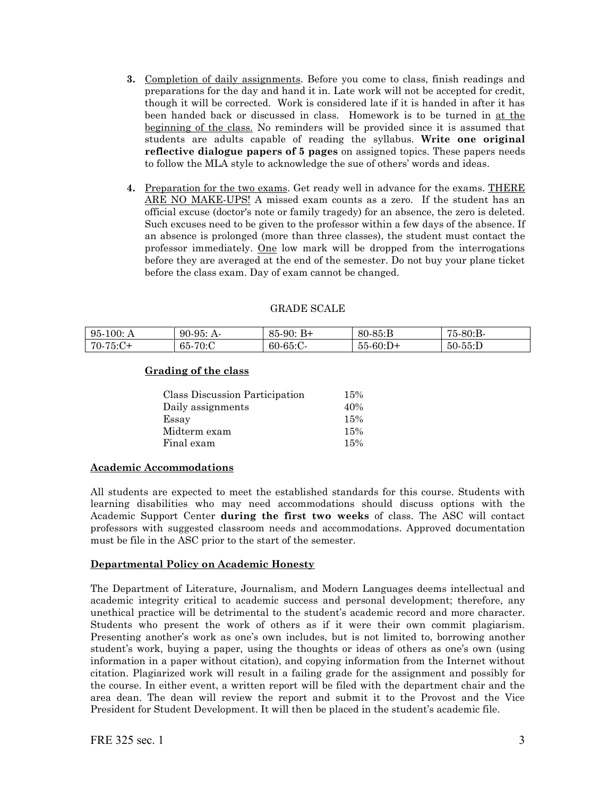- **3.** Completion of daily assignments. Before you come to class, finish readings and preparations for the day and hand it in. Late work will not be accepted for credit, though it will be corrected. Work is considered late if it is handed in after it has been handed back or discussed in class. Homework is to be turned in at the beginning of the class. No reminders will be provided since it is assumed that students are adults capable of reading the syllabus. **Write one original reflective dialogue papers of 5 pages** on assigned topics. These papers needs to follow the MLA style to acknowledge the sue of others' words and ideas.
- **4.** Preparation for the two exams. Get ready well in advance for the exams. THERE ARE NO MAKE-UPS! A missed exam counts as a zero. If the student has an official excuse (doctor's note or family tragedy) for an absence, the zero is deleted. Such excuses need to be given to the professor within a few days of the absence. If an absence is prolonged (more than three classes), the student must contact the professor immediately. One low mark will be dropped from the interrogations before they are averaged at the end of the semester. Do not buy your plane ticket before the class exam. Day of exam cannot be changed.

| $95-100:$ A | $90-95: A$ | $85-90$ : B+ | $80 - 85 : B$ | 75-80:B-   |
|-------------|------------|--------------|---------------|------------|
| $170-75:C+$ | 65-70:C    | 60-65:C-     | $55-60:D+$    | $50-55$ :D |

GRADE SCALE

## **Grading of the class**

| Class Discussion Participation | 15% |
|--------------------------------|-----|
| Daily assignments              | 40% |
| Essay                          | 15% |
| Midterm exam                   | 15% |
| Final exam                     | 15% |

## **Academic Accommodations**

All students are expected to meet the established standards for this course. Students with learning disabilities who may need accommodations should discuss options with the Academic Support Center **during the first two weeks** of class. The ASC will contact professors with suggested classroom needs and accommodations. Approved documentation must be file in the ASC prior to the start of the semester.

#### **Departmental Policy on Academic Honesty**

The Department of Literature, Journalism, and Modern Languages deems intellectual and academic integrity critical to academic success and personal development; therefore, any unethical practice will be detrimental to the student's academic record and more character. Students who present the work of others as if it were their own commit plagiarism. Presenting another's work as one's own includes, but is not limited to, borrowing another student's work, buying a paper, using the thoughts or ideas of others as one's own (using information in a paper without citation), and copying information from the Internet without citation. Plagiarized work will result in a failing grade for the assignment and possibly for the course. In either event, a written report will be filed with the department chair and the area dean. The dean will review the report and submit it to the Provost and the Vice President for Student Development. It will then be placed in the student's academic file.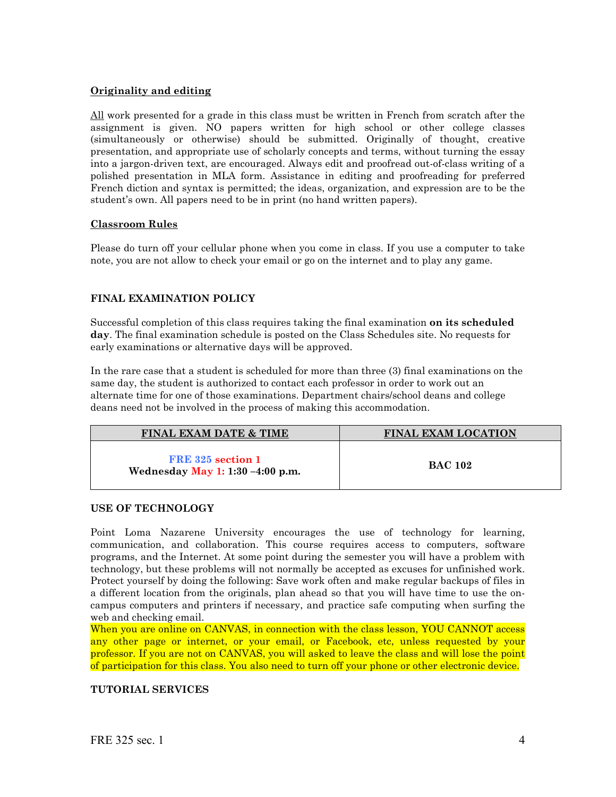## **Originality and editing**

All work presented for a grade in this class must be written in French from scratch after the assignment is given. NO papers written for high school or other college classes (simultaneously or otherwise) should be submitted. Originally of thought, creative presentation, and appropriate use of scholarly concepts and terms, without turning the essay into a jargon-driven text, are encouraged. Always edit and proofread out-of-class writing of a polished presentation in MLA form. Assistance in editing and proofreading for preferred French diction and syntax is permitted; the ideas, organization, and expression are to be the student's own. All papers need to be in print (no hand written papers).

#### **Classroom Rules**

Please do turn off your cellular phone when you come in class. If you use a computer to take note, you are not allow to check your email or go on the internet and to play any game.

## **FINAL EXAMINATION POLICY**

Successful completion of this class requires taking the final examination **on its scheduled day**. The final examination schedule is posted on the Class Schedules site. No requests for early examinations or alternative days will be approved.

In the rare case that a student is scheduled for more than three (3) final examinations on the same day, the student is authorized to contact each professor in order to work out an alternate time for one of those examinations. Department chairs/school deans and college deans need not be involved in the process of making this accommodation.

| <b>FINAL EXAM DATE &amp; TIME</b>                       | <b>FINAL EXAM LOCATION</b> |
|---------------------------------------------------------|----------------------------|
| FRE 325 section 1<br>Wednesday May 1: 1:30 $-4:00$ p.m. | <b>BAC 102</b>             |

#### **USE OF TECHNOLOGY**

Point Loma Nazarene University encourages the use of technology for learning, communication, and collaboration. This course requires access to computers, software programs, and the Internet. At some point during the semester you will have a problem with technology, but these problems will not normally be accepted as excuses for unfinished work. Protect yourself by doing the following: Save work often and make regular backups of files in a different location from the originals, plan ahead so that you will have time to use the oncampus computers and printers if necessary, and practice safe computing when surfing the web and checking email.

When you are online on CANVAS, in connection with the class lesson, YOU CANNOT access any other page or internet, or your email, or Facebook, etc, unless requested by your professor. If you are not on CANVAS, you will asked to leave the class and will lose the point of participation for this class. You also need to turn off your phone or other electronic device.

## **TUTORIAL SERVICES**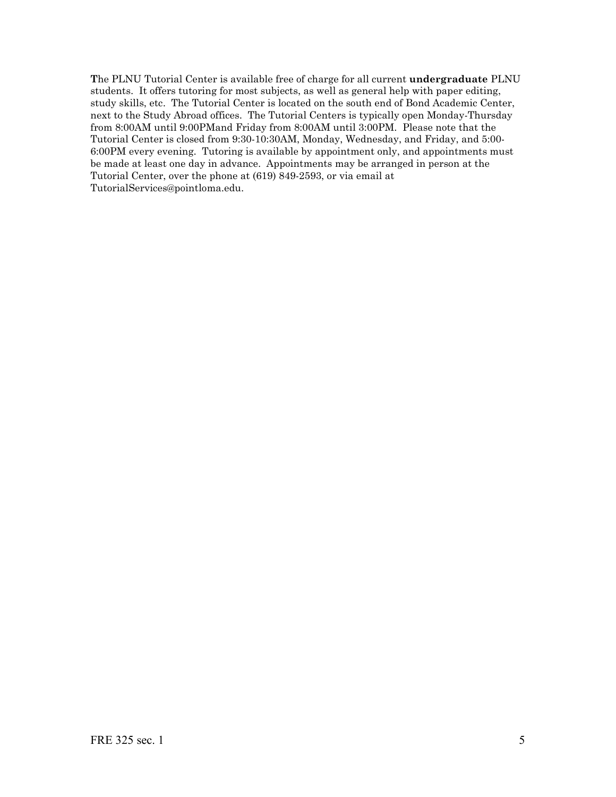**T**he PLNU Tutorial Center is available free of charge for all current **undergraduate** PLNU students. It offers tutoring for most subjects, as well as general help with paper editing, study skills, etc. The Tutorial Center is located on the south end of Bond Academic Center, next to the Study Abroad offices. The Tutorial Centers is typically open Monday-Thursday from 8:00AM until 9:00PMand Friday from 8:00AM until 3:00PM. Please note that the Tutorial Center is closed from 9:30-10:30AM, Monday, Wednesday, and Friday, and 5:00- 6:00PM every evening. Tutoring is available by appointment only, and appointments must be made at least one day in advance. Appointments may be arranged in person at the Tutorial Center, over the phone at (619) 849-2593, or via email at TutorialServices@pointloma.edu.